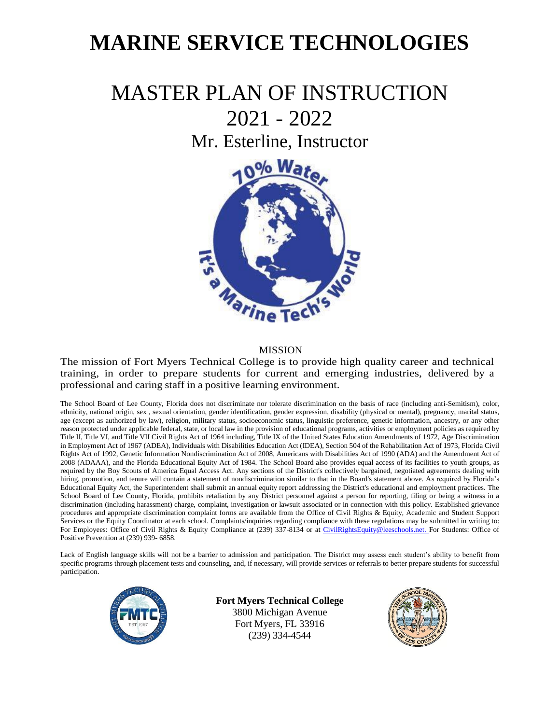# **MARINE SERVICE TECHNOLOGIES**

# MASTER PLAN OF INSTRUCTION 2021 - 2022 Mr. Esterline, Instructor



#### MISSION

The mission of Fort Myers Technical College is to provide high quality career and technical training, in order to prepare students for current and emerging industries, delivered by a professional and caring staff in a positive learning environment.

The School Board of Lee County, Florida does not discriminate nor tolerate discrimination on the basis of race (including anti-Semitism), color, ethnicity, national origin, sex , sexual orientation, gender identification, gender expression, disability (physical or mental), pregnancy, marital status, age (except as authorized by law), religion, military status, socioeconomic status, linguistic preference, genetic information, ancestry, or any other reason protected under applicable federal, state, or local law in the provision of educational programs, activities or employment policies as required by Title II, Title VI, and Title VII Civil Rights Act of 1964 including, Title IX of the United States Education Amendments of 1972, Age Discrimination in Employment Act of 1967 (ADEA), Individuals with Disabilities Education Act (IDEA), Section 504 of the Rehabilitation Act of 1973, Florida Civil Rights Act of 1992, Genetic Information Nondiscrimination Act of 2008, Americans with Disabilities Act of 1990 (ADA) and the Amendment Act of 2008 (ADAAA), and the Florida Educational Equity Act of 1984. The School Board also provides equal access of its facilities to youth groups, as required by the Boy Scouts of America Equal Access Act. Any sections of the District's collectively bargained, negotiated agreements dealing with hiring, promotion, and tenure will contain a statement of nondiscrimination similar to that in the Board's statement above. As required by Florida's Educational Equity Act, the Superintendent shall submit an annual equity report addressing the District's educational and employment practices. The School Board of Lee County, Florida, prohibits retaliation by any District personnel against a person for reporting, filing or being a witness in a discrimination (including harassment) charge, complaint, investigation or lawsuit associated or in connection with this policy. Established grievance procedures and appropriate discrimination complaint forms are available from the Office of Civil Rights & Equity, Academic and Student Support Services or the Equity Coordinator at each school. Complaints/inquiries regarding compliance with these regulations may be submitted in writing to: For Employees: Office of Civil Rights & Equity Compliance at (239) 337-8134 or at [CivilRightsEquity@leeschools.net. F](mailto:CivilRightsEquity@leeschools.net)or Students: Office of Positive Prevention at (239) 939- 6858.

Lack of English language skills will not be a barrier to admission and participation. The District may assess each student's ability to benefit from specific programs through placement tests and counseling, and, if necessary, will provide services or referrals to better prepare students for successful participation.



**Fort Myers Technical College** 3800 Michigan Avenue Fort Myers, FL 33916 (239) 334-4544

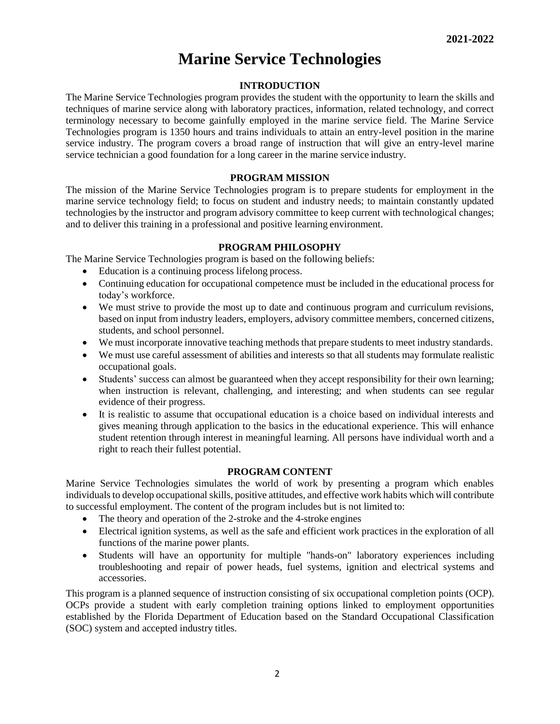# **Marine Service Technologies**

# **INTRODUCTION**

The Marine Service Technologies program provides the student with the opportunity to learn the skills and techniques of marine service along with laboratory practices, information, related technology, and correct terminology necessary to become gainfully employed in the marine service field. The Marine Service Technologies program is 1350 hours and trains individuals to attain an entry-level position in the marine service industry. The program covers a broad range of instruction that will give an entry-level marine service technician a good foundation for a long career in the marine service industry.

# **PROGRAM MISSION**

The mission of the Marine Service Technologies program is to prepare students for employment in the marine service technology field; to focus on student and industry needs; to maintain constantly updated technologies by the instructor and program advisory committee to keep current with technological changes; and to deliver this training in a professional and positive learning environment.

#### **PROGRAM PHILOSOPHY**

The Marine Service Technologies program is based on the following beliefs:

- Education is a continuing process lifelong process.
- Continuing education for occupational competence must be included in the educational process for today's workforce.
- We must strive to provide the most up to date and continuous program and curriculum revisions, based on input from industry leaders, employers, advisory committee members, concerned citizens, students, and school personnel.
- We must incorporate innovative teaching methods that prepare students to meet industry standards.
- We must use careful assessment of abilities and interests so that all students may formulate realistic occupational goals.
- Students' success can almost be guaranteed when they accept responsibility for their own learning; when instruction is relevant, challenging, and interesting; and when students can see regular evidence of their progress.
- It is realistic to assume that occupational education is a choice based on individual interests and gives meaning through application to the basics in the educational experience. This will enhance student retention through interest in meaningful learning. All persons have individual worth and a right to reach their fullest potential.

# **PROGRAM CONTENT**

Marine Service Technologies simulates the world of work by presenting a program which enables individuals to develop occupational skills, positive attitudes, and effective work habits which will contribute to successful employment. The content of the program includes but is not limited to:

- The theory and operation of the 2-stroke and the 4-stroke engines
- Electrical ignition systems, as well as the safe and efficient work practices in the exploration of all functions of the marine power plants.
- Students will have an opportunity for multiple "hands-on" laboratory experiences including troubleshooting and repair of power heads, fuel systems, ignition and electrical systems and accessories.

This program is a planned sequence of instruction consisting of six occupational completion points (OCP). OCPs provide a student with early completion training options linked to employment opportunities established by the Florida Department of Education based on the Standard Occupational Classification (SOC) system and accepted industry titles.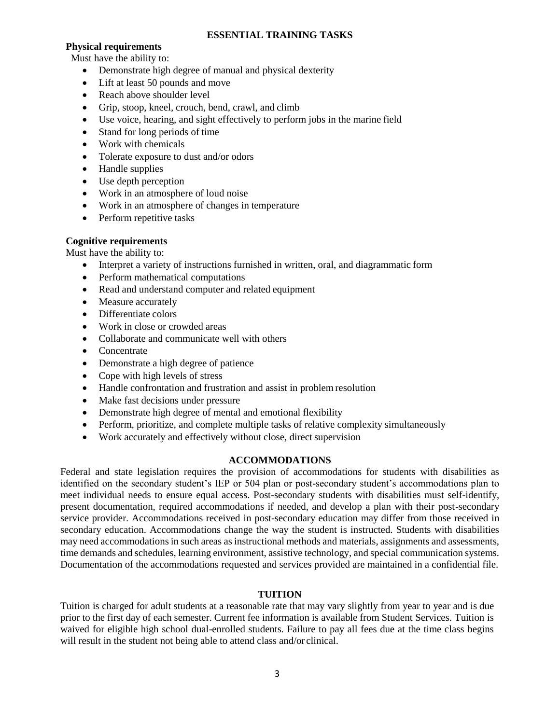# **ESSENTIAL TRAINING TASKS**

# **Physical requirements**

Must have the ability to:

- Demonstrate high degree of manual and physical dexterity
- Lift at least 50 pounds and move
- Reach above shoulder level
- Grip, stoop, kneel, crouch, bend, crawl, and climb
- Use voice, hearing, and sight effectively to perform jobs in the marine field
- Stand for long periods of time
- Work with chemicals
- Tolerate exposure to dust and/or odors
- Handle supplies
- Use depth perception
- Work in an atmosphere of loud noise
- Work in an atmosphere of changes in temperature
- Perform repetitive tasks

# **Cognitive requirements**

Must have the ability to:

- Interpret a variety of instructions furnished in written, oral, and diagrammatic form
- Perform mathematical computations
- Read and understand computer and related equipment
- Measure accurately
- Differentiate colors
- Work in close or crowded areas
- Collaborate and communicate well with others
- Concentrate
- Demonstrate a high degree of patience
- Cope with high levels of stress
- Handle confrontation and frustration and assist in problem resolution
- Make fast decisions under pressure
- Demonstrate high degree of mental and emotional flexibility
- Perform, prioritize, and complete multiple tasks of relative complexity simultaneously
- Work accurately and effectively without close, direct supervision

# **ACCOMMODATIONS**

Federal and state legislation requires the provision of accommodations for students with disabilities as identified on the secondary student's IEP or 504 plan or post-secondary student's accommodations plan to meet individual needs to ensure equal access. Post-secondary students with disabilities must self-identify, present documentation, required accommodations if needed, and develop a plan with their post-secondary service provider. Accommodations received in post-secondary education may differ from those received in secondary education. Accommodations change the way the student is instructed. Students with disabilities may need accommodations in such areas as instructional methods and materials, assignments and assessments, time demands and schedules, learning environment, assistive technology, and special communication systems. Documentation of the accommodations requested and services provided are maintained in a confidential file.

# **TUITION**

Tuition is charged for adult students at a reasonable rate that may vary slightly from year to year and is due prior to the first day of each semester. Current fee information is available from Student Services. Tuition is waived for eligible high school dual-enrolled students. Failure to pay all fees due at the time class begins will result in the student not being able to attend class and/or clinical.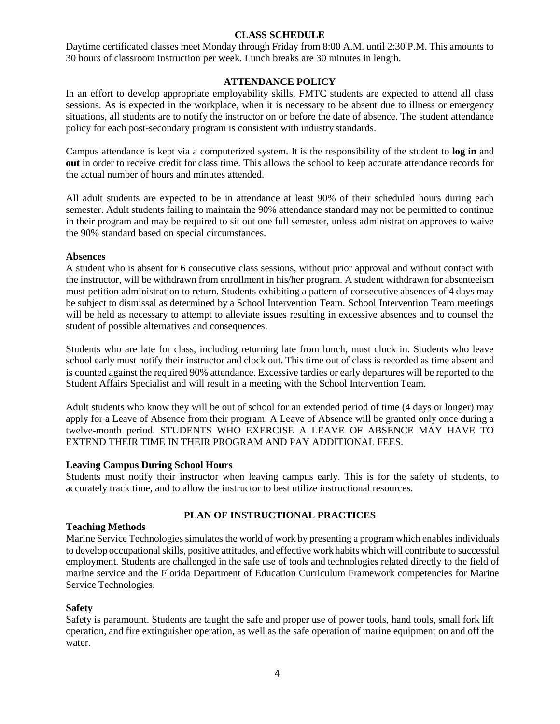# **CLASS SCHEDULE**

Daytime certificated classes meet Monday through Friday from 8:00 A.M. until 2:30 P.M. This amounts to 30 hours of classroom instruction per week. Lunch breaks are 30 minutes in length.

# **ATTENDANCE POLICY**

In an effort to develop appropriate employability skills, FMTC students are expected to attend all class sessions. As is expected in the workplace, when it is necessary to be absent due to illness or emergency situations, all students are to notify the instructor on or before the date of absence. The student attendance policy for each post-secondary program is consistent with industry standards.

Campus attendance is kept via a computerized system. It is the responsibility of the student to **log in** and **out** in order to receive credit for class time. This allows the school to keep accurate attendance records for the actual number of hours and minutes attended.

All adult students are expected to be in attendance at least 90% of their scheduled hours during each semester. Adult students failing to maintain the 90% attendance standard may not be permitted to continue in their program and may be required to sit out one full semester, unless administration approves to waive the 90% standard based on special circumstances.

# **Absences**

A student who is absent for 6 consecutive class sessions, without prior approval and without contact with the instructor, will be withdrawn from enrollment in his/her program. A student withdrawn for absenteeism must petition administration to return. Students exhibiting a pattern of consecutive absences of 4 days may be subject to dismissal as determined by a School Intervention Team. School Intervention Team meetings will be held as necessary to attempt to alleviate issues resulting in excessive absences and to counsel the student of possible alternatives and consequences.

Students who are late for class, including returning late from lunch, must clock in. Students who leave school early must notify their instructor and clock out. This time out of class is recorded as time absent and is counted against the required 90% attendance. Excessive tardies or early departures will be reported to the Student Affairs Specialist and will result in a meeting with the School Intervention Team.

Adult students who know they will be out of school for an extended period of time (4 days or longer) may apply for a Leave of Absence from their program. A Leave of Absence will be granted only once during a twelve-month period. STUDENTS WHO EXERCISE A LEAVE OF ABSENCE MAY HAVE TO EXTEND THEIR TIME IN THEIR PROGRAM AND PAY ADDITIONAL FEES.

# **Leaving Campus During School Hours**

Students must notify their instructor when leaving campus early. This is for the safety of students, to accurately track time, and to allow the instructor to best utilize instructional resources.

# **PLAN OF INSTRUCTIONAL PRACTICES**

# **Teaching Methods**

Marine Service Technologies simulates the world of work by presenting a program which enables individuals to develop occupational skills, positive attitudes, and effective work habits which will contribute to successful employment. Students are challenged in the safe use of tools and technologies related directly to the field of marine service and the Florida Department of Education Curriculum Framework competencies for Marine Service Technologies.

# **Safety**

Safety is paramount. Students are taught the safe and proper use of power tools, hand tools, small fork lift operation, and fire extinguisher operation, as well as the safe operation of marine equipment on and off the water.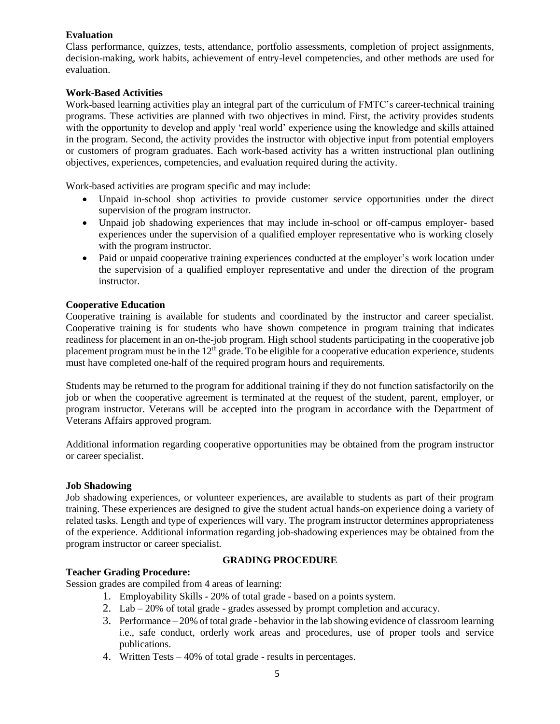# **Evaluation**

Class performance, quizzes, tests, attendance, portfolio assessments, completion of project assignments, decision-making, work habits, achievement of entry-level competencies, and other methods are used for evaluation.

# **Work-Based Activities**

Work-based learning activities play an integral part of the curriculum of FMTC's career-technical training programs. These activities are planned with two objectives in mind. First, the activity provides students with the opportunity to develop and apply 'real world' experience using the knowledge and skills attained in the program. Second, the activity provides the instructor with objective input from potential employers or customers of program graduates. Each work-based activity has a written instructional plan outlining objectives, experiences, competencies, and evaluation required during the activity.

Work-based activities are program specific and may include:

- Unpaid in-school shop activities to provide customer service opportunities under the direct supervision of the program instructor.
- Unpaid job shadowing experiences that may include in-school or off-campus employer- based experiences under the supervision of a qualified employer representative who is working closely with the program instructor.
- Paid or unpaid cooperative training experiences conducted at the employer's work location under the supervision of a qualified employer representative and under the direction of the program instructor.

# **Cooperative Education**

Cooperative training is available for students and coordinated by the instructor and career specialist. Cooperative training is for students who have shown competence in program training that indicates readiness for placement in an on-the-job program. High school students participating in the cooperative job placement program must be in the  $12<sup>th</sup>$  grade. To be eligible for a cooperative education experience, students must have completed one-half of the required program hours and requirements.

Students may be returned to the program for additional training if they do not function satisfactorily on the job or when the cooperative agreement is terminated at the request of the student, parent, employer, or program instructor. Veterans will be accepted into the program in accordance with the Department of Veterans Affairs approved program.

Additional information regarding cooperative opportunities may be obtained from the program instructor or career specialist.

# **Job Shadowing**

Job shadowing experiences, or volunteer experiences, are available to students as part of their program training. These experiences are designed to give the student actual hands-on experience doing a variety of related tasks. Length and type of experiences will vary. The program instructor determines appropriateness of the experience. Additional information regarding job-shadowing experiences may be obtained from the program instructor or career specialist.

# **Teacher Grading Procedure:**

# **GRADING PROCEDURE**

Session grades are compiled from 4 areas of learning:

- 1. Employability Skills 20% of total grade based on a points system.
- 2. Lab 20% of total grade grades assessed by prompt completion and accuracy.
- 3. Performance 20% of total grade behavior in the lab showing evidence of classroom learning i.e., safe conduct, orderly work areas and procedures, use of proper tools and service publications.
- 4. Written Tests 40% of total grade results in percentages.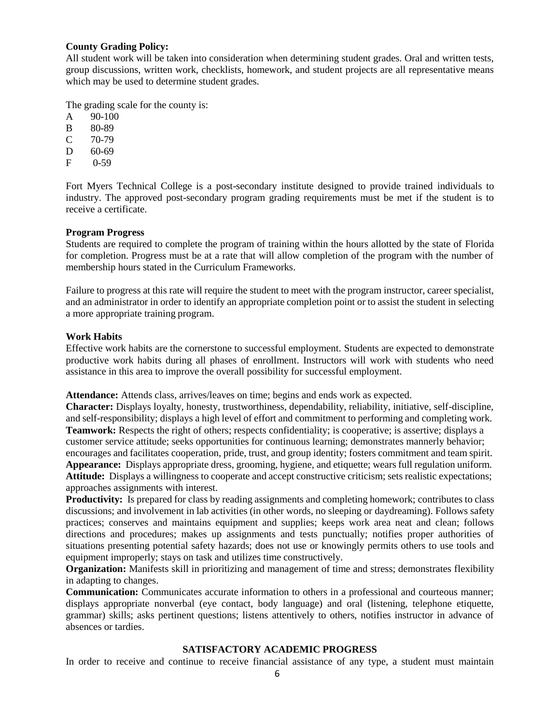#### **County Grading Policy:**

All student work will be taken into consideration when determining student grades. Oral and written tests, group discussions, written work, checklists, homework, and student projects are all representative means which may be used to determine student grades.

The grading scale for the county is:

- A 90-100
- B 80-89
- C 70-79
- D 60-69
- F 0-59

Fort Myers Technical College is a post-secondary institute designed to provide trained individuals to industry. The approved post-secondary program grading requirements must be met if the student is to receive a certificate.

# **Program Progress**

Students are required to complete the program of training within the hours allotted by the state of Florida for completion. Progress must be at a rate that will allow completion of the program with the number of membership hours stated in the Curriculum Frameworks.

Failure to progress at this rate will require the student to meet with the program instructor, career specialist, and an administrator in order to identify an appropriate completion point or to assist the student in selecting a more appropriate training program.

# **Work Habits**

Effective work habits are the cornerstone to successful employment. Students are expected to demonstrate productive work habits during all phases of enrollment. Instructors will work with students who need assistance in this area to improve the overall possibility for successful employment.

**Attendance:** Attends class, arrives/leaves on time; begins and ends work as expected.

**Character:** Displays loyalty, honesty, trustworthiness, dependability, reliability, initiative, self-discipline, and self-responsibility; displays a high level of effort and commitment to performing and completing work. **Teamwork:** Respects the right of others; respects confidentiality; is cooperative; is assertive; displays a customer service attitude; seeks opportunities for continuous learning; demonstrates mannerly behavior; encourages and facilitates cooperation, pride, trust, and group identity; fosters commitment and team spirit. **Appearance:** Displays appropriate dress, grooming, hygiene, and etiquette; wears full regulation uniform. **Attitude:** Displays a willingness to cooperate and accept constructive criticism; sets realistic expectations; approaches assignments with interest.

**Productivity:** Is prepared for class by reading assignments and completing homework; contributes to class discussions; and involvement in lab activities (in other words, no sleeping or daydreaming). Follows safety practices; conserves and maintains equipment and supplies; keeps work area neat and clean; follows directions and procedures; makes up assignments and tests punctually; notifies proper authorities of situations presenting potential safety hazards; does not use or knowingly permits others to use tools and equipment improperly; stays on task and utilizes time constructively.

**Organization:** Manifests skill in prioritizing and management of time and stress; demonstrates flexibility in adapting to changes.

**Communication:** Communicates accurate information to others in a professional and courteous manner; displays appropriate nonverbal (eye contact, body language) and oral (listening, telephone etiquette, grammar) skills; asks pertinent questions; listens attentively to others, notifies instructor in advance of absences or tardies.

# **SATISFACTORY ACADEMIC PROGRESS**

In order to receive and continue to receive financial assistance of any type, a student must maintain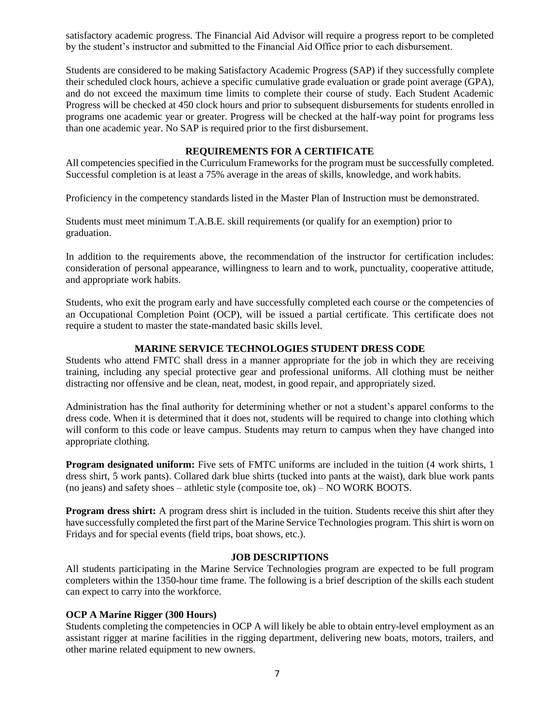satisfactory academic progress. The Financial Aid Advisor will require a progress report to be completed by the student's instructor and submitted to the Financial Aid Office prior to each disbursement.

Students are considered to be making Satisfactory Academic Progress (SAP) if they successfully complete their scheduled clock hours, achieve a specific cumulative grade evaluation or grade point average (GPA), and do not exceed the maximum time limits to complete their course of study. Each Student Academic Progress will be checked at 450 clock hours and prior to subsequent disbursements for students enrolled in programs one academic year or greater. Progress will be checked at the half-way point for programs less than one academic year. No SAP is required prior to the first disbursement.

# **REQUIREMENTS FOR A CERTIFICATE**

All competencies specified in the Curriculum Frameworks for the program must be successfully completed. Successful completion is at least a 75% average in the areas of skills, knowledge, and work habits.

Proficiency in the competency standards listed in the Master Plan of Instruction must be demonstrated.

Students must meet minimum T.A.B.E. skill requirements (or qualify for an exemption) prior to graduation.

In addition to the requirements above, the recommendation of the instructor for certification includes: consideration of personal appearance, willingness to learn and to work, punctuality, cooperative attitude, and appropriate work habits.

Students, who exit the program early and have successfully completed each course or the competencies of an Occupational Completion Point (OCP), will be issued a partial certificate. This certificate does not require a student to master the state-mandated basic skills level.

# **MARINE SERVICE TECHNOLOGIES STUDENT DRESS CODE**

Students who attend FMTC shall dress in a manner appropriate for the job in which they are receiving training, including any special protective gear and professional uniforms. All clothing must be neither distracting nor offensive and be clean, neat, modest, in good repair, and appropriately sized.

Administration has the final authority for determining whether or not a student's apparel conforms to the dress code. When it is determined that it does not, students will be required to change into clothing which will conform to this code or leave campus. Students may return to campus when they have changed into appropriate clothing.

**Program designated uniform:** Five sets of FMTC uniforms are included in the tuition (4 work shirts, 1 dress shirt, 5 work pants). Collared dark blue shirts (tucked into pants at the waist), dark blue work pants (no jeans) and safety shoes – athletic style (composite toe, ok) – NO WORK BOOTS.

**Program dress shirt:** A program dress shirt is included in the tuition. Students receive this shirt after they have successfully completed the first part of the Marine Service Technologies program. This shirt is worn on Fridays and for special events (field trips, boat shows, etc.).

#### **JOB DESCRIPTIONS**

All students participating in the Marine Service Technologies program are expected to be full program completers within the 1350-hour time frame. The following is a brief description of the skills each student can expect to carry into the workforce.

# **OCP A Marine Rigger (300 Hours)**

Students completing the competencies in OCP A will likely be able to obtain entry-level employment as an assistant rigger at marine facilities in the rigging department, delivering new boats, motors, trailers, and other marine related equipment to new owners.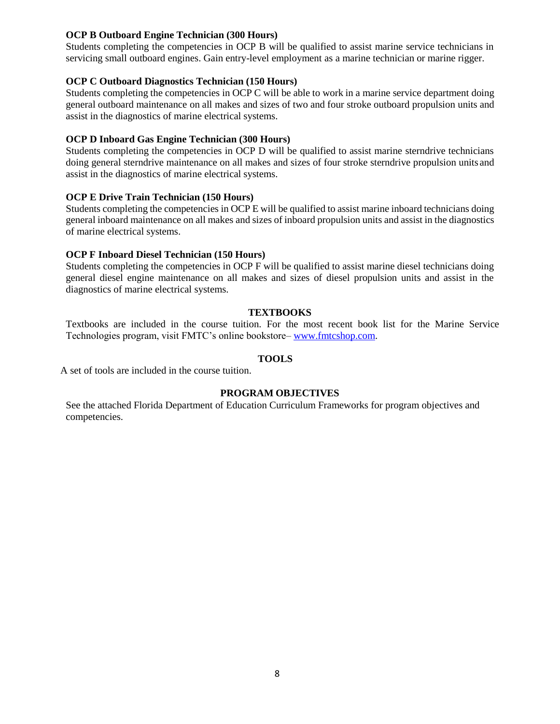# **OCP B Outboard Engine Technician (300 Hours)**

Students completing the competencies in OCP B will be qualified to assist marine service technicians in servicing small outboard engines. Gain entry-level employment as a marine technician or marine rigger.

# **OCP C Outboard Diagnostics Technician (150 Hours)**

Students completing the competencies in OCP C will be able to work in a marine service department doing general outboard maintenance on all makes and sizes of two and four stroke outboard propulsion units and assist in the diagnostics of marine electrical systems.

# **OCP D Inboard Gas Engine Technician (300 Hours)**

Students completing the competencies in OCP D will be qualified to assist marine sterndrive technicians doing general sterndrive maintenance on all makes and sizes of four stroke sterndrive propulsion units and assist in the diagnostics of marine electrical systems.

# **OCP E Drive Train Technician (150 Hours)**

Students completing the competencies in OCP E will be qualified to assist marine inboard technicians doing general inboard maintenance on all makes and sizes of inboard propulsion units and assist in the diagnostics of marine electrical systems.

# **OCP F Inboard Diesel Technician (150 Hours)**

Students completing the competencies in OCP F will be qualified to assist marine diesel technicians doing general diesel engine maintenance on all makes and sizes of diesel propulsion units and assist in the diagnostics of marine electrical systems.

# **TEXTBOOKS**

Textbooks are included in the course tuition. For the most recent book list for the Marine Service Technologies program, visit FMTC's online bookstore– [www.fmtcshop.com.](http://www.fmtcshop.com/)

# **TOOLS**

A set of tools are included in the course tuition.

# **PROGRAM OBJECTIVES**

See the attached Florida Department of Education Curriculum Frameworks for program objectives and competencies.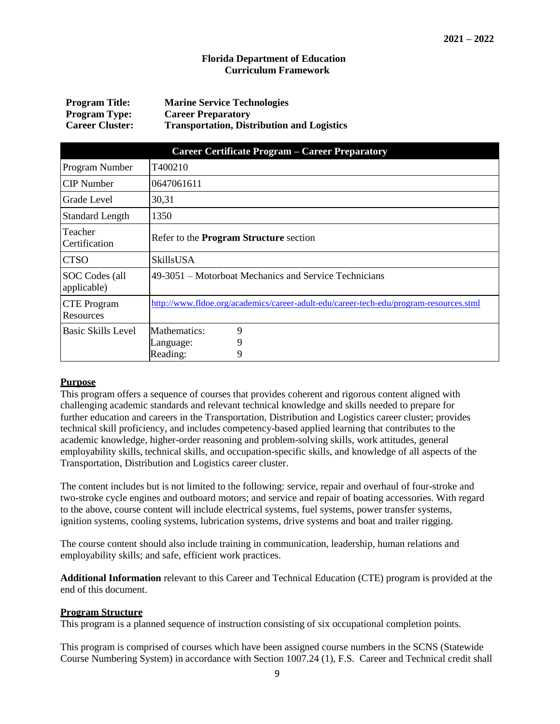#### **Florida Department of Education Curriculum Framework**

| <b>Program Title:</b>  | <b>Marine Service Technologies</b>                |
|------------------------|---------------------------------------------------|
| <b>Program Type:</b>   | <b>Career Preparatory</b>                         |
| <b>Career Cluster:</b> | <b>Transportation, Distribution and Logistics</b> |

| <b>Career Certificate Program – Career Preparatory</b> |                                                                                        |  |  |  |  |
|--------------------------------------------------------|----------------------------------------------------------------------------------------|--|--|--|--|
| Program Number                                         | T400210                                                                                |  |  |  |  |
| <b>CIP</b> Number                                      | 0647061611                                                                             |  |  |  |  |
| Grade Level                                            | 30,31                                                                                  |  |  |  |  |
| <b>Standard Length</b>                                 | 1350                                                                                   |  |  |  |  |
| Teacher<br>Certification                               | Refer to the Program Structure section                                                 |  |  |  |  |
| <b>CTSO</b>                                            | <b>SkillsUSA</b>                                                                       |  |  |  |  |
| SOC Codes (all<br>applicable)                          | 49-3051 – Motorboat Mechanics and Service Technicians                                  |  |  |  |  |
| <b>CTE</b> Program<br>Resources                        | http://www.fldoe.org/academics/career-adult-edu/career-tech-edu/program-resources.stml |  |  |  |  |
| Basic Skills Level                                     | Mathematics:<br>9                                                                      |  |  |  |  |
|                                                        | 9<br>Language:                                                                         |  |  |  |  |
|                                                        | 9<br>Reading:                                                                          |  |  |  |  |

# **Purpose**

This program offers a sequence of courses that provides coherent and rigorous content aligned with challenging academic standards and relevant technical knowledge and skills needed to prepare for further education and careers in the Transportation, Distribution and Logistics career cluster; provides technical skill proficiency, and includes competency-based applied learning that contributes to the academic knowledge, higher-order reasoning and problem-solving skills, work attitudes, general employability skills, technical skills, and occupation-specific skills, and knowledge of all aspects of the Transportation, Distribution and Logistics career cluster.

The content includes but is not limited to the following: service, repair and overhaul of four-stroke and two-stroke cycle engines and outboard motors; and service and repair of boating accessories. With regard to the above, course content will include electrical systems, fuel systems, power transfer systems, ignition systems, cooling systems, lubrication systems, drive systems and boat and trailer rigging.

The course content should also include training in communication, leadership, human relations and employability skills; and safe, efficient work practices.

**Additional Information** relevant to this Career and Technical Education (CTE) program is provided at the end of this document.

#### **Program Structure**

This program is a planned sequence of instruction consisting of six occupational completion points.

This program is comprised of courses which have been assigned course numbers in the SCNS (Statewide Course Numbering System) in accordance with Section 1007.24 (1), F.S. Career and Technical credit shall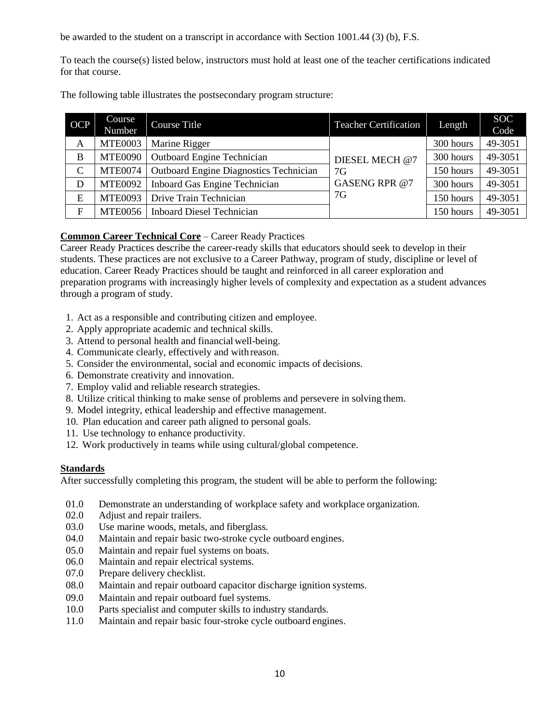be awarded to the student on a transcript in accordance with Section 1001.44 (3) (b), F.S.

To teach the course(s) listed below, instructors must hold at least one of the teacher certifications indicated for that course.

The following table illustrates the postsecondary program structure:

| <b>OCP</b> | Course<br><b>Number</b> | Course Title                                        | <b>Teacher Certification</b> | Length    | <b>SOC</b><br>Code |
|------------|-------------------------|-----------------------------------------------------|------------------------------|-----------|--------------------|
| A          | <b>MTE0003</b>          | Marine Rigger                                       |                              | 300 hours | 49-3051            |
| B          | <b>MTE0090</b>          | <b>Outboard Engine Technician</b><br>DIESEL MECH @7 |                              | 300 hours | 49-3051            |
| C          | <b>MTE0074</b>          | <b>Outboard Engine Diagnostics Technician</b>       | 7G                           | 150 hours | 49-3051            |
| D          | <b>MTE0092</b>          | Inboard Gas Engine Technician                       | GASENG RPR@7                 | 300 hours | 49-3051            |
| E          | <b>MTE0093</b>          | Drive Train Technician                              | 7G                           | 150 hours | 49-3051            |
| F          | MTE0056                 | <b>Inboard Diesel Technician</b>                    |                              | 150 hours | 49-3051            |

# **Common Career Technical Core** – Career Ready Practices

Career Ready Practices describe the career-ready skills that educators should seek to develop in their students. These practices are not exclusive to a Career Pathway, program of study, discipline or level of education. Career Ready Practices should be taught and reinforced in all career exploration and preparation programs with increasingly higher levels of complexity and expectation as a student advances through a program of study.

- 1. Act as a responsible and contributing citizen and employee.
- 2. Apply appropriate academic and technical skills.
- 3. Attend to personal health and financial well-being.
- 4. Communicate clearly, effectively and withreason.
- 5. Consider the environmental, social and economic impacts of decisions.
- 6. Demonstrate creativity and innovation.
- 7. Employ valid and reliable research strategies.
- 8. Utilize critical thinking to make sense of problems and persevere in solving them.
- 9. Model integrity, ethical leadership and effective management.
- 10. Plan education and career path aligned to personal goals.
- 11. Use technology to enhance productivity.
- 12. Work productively in teams while using cultural/global competence.

# **Standards**

After successfully completing this program, the student will be able to perform the following:

- 01.0 Demonstrate an understanding of workplace safety and workplace organization.
- 02.0 Adjust and repair trailers.
- 03.0 Use marine woods, metals, and fiberglass.
- 04.0 Maintain and repair basic two-stroke cycle outboard engines.
- 05.0 Maintain and repair fuel systems on boats.
- 06.0 Maintain and repair electrical systems.
- 07.0 Prepare delivery checklist.
- 08.0 Maintain and repair outboard capacitor discharge ignition systems.
- 09.0 Maintain and repair outboard fuel systems.
- 10.0 Parts specialist and computer skills to industry standards.
- 11.0 Maintain and repair basic four-stroke cycle outboard engines.